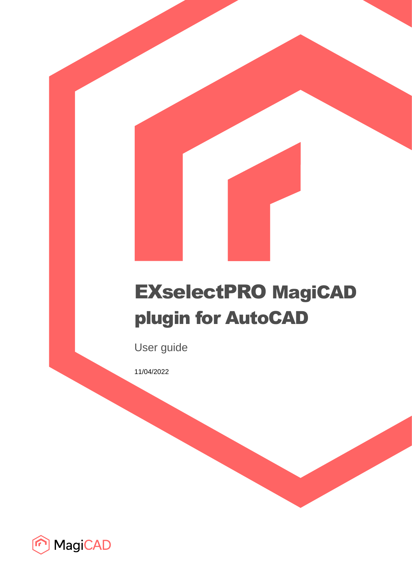# EXselectPRO MagiCAD plugin for AutoCAD

User guide

11/04/2022

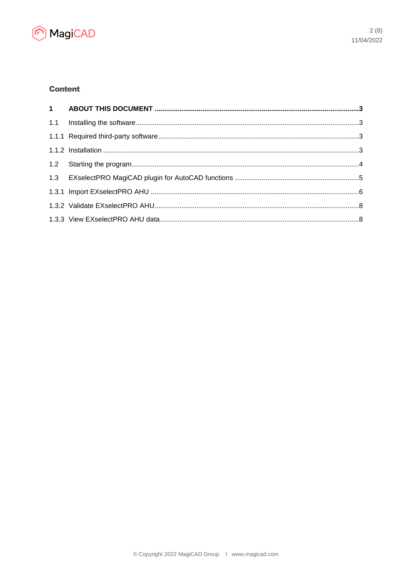

## **Content**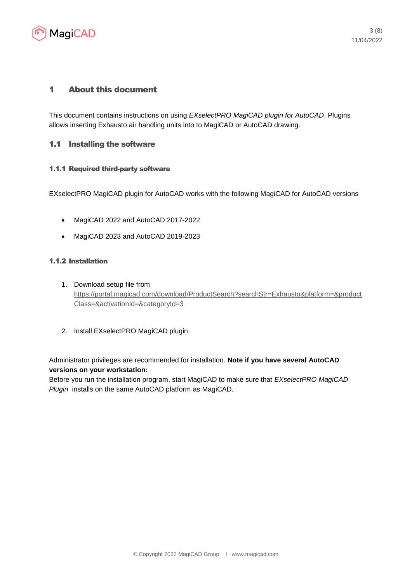

## 1 About this document

This document contains instructions on using *EXselectPRO MagiCAD plugin for AutoCAD*. Plugins allows inserting Exhausto air handling units into to MagiCAD or AutoCAD drawing.

## 1.1 Installing the software

## 1.1.1 Required third-party software

EXselectPRO MagiCAD plugin for AutoCAD works with the following MagiCAD for AutoCAD versions

- MagiCAD 2022 and AutoCAD 2017-2022
- MagiCAD 2023 and AutoCAD 2019-2023

## 1.1.2 Installation

- 1. Download setup file from [https://portal.magicad.com/download/ProductSearch?searchStr=Exhausto&platform=&product](https://portal.magicad.com/download/ProductSearch?searchStr=Exhausto&platform=&productClass=&activationId=&categoryId=3) [Class=&activationId=&categoryId=3](https://portal.magicad.com/download/ProductSearch?searchStr=Exhausto&platform=&productClass=&activationId=&categoryId=3)
- 2. Install EXselectPRO MagiCAD plugin.

Administrator privileges are recommended for installation. **Note if you have several AutoCAD versions on your workstation:**

Before you run the installation program, start MagiCAD to make sure that *EXselectPRO MagiCAD Plugin* installs on the same AutoCAD platform as MagiCAD.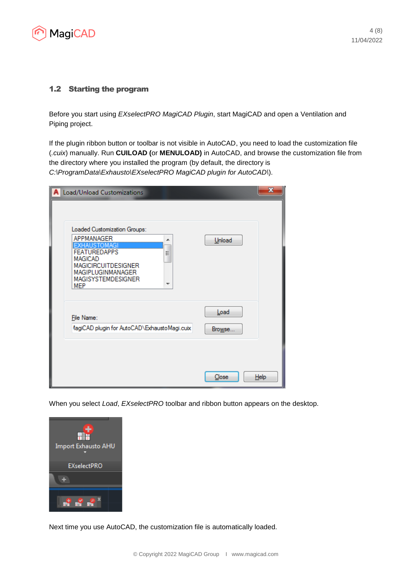

## 1.2 Starting the program

Before you start using *EXselectPRO MagiCAD Plugin*, start MagiCAD and open a Ventilation and Piping project.

If the plugin ribbon button or toolbar is not visible in AutoCAD, you need to load the customization file (*.cuix*) manually. Run **CUILOAD (**or **MENULOAD)** in AutoCAD, and browse the customization file from the directory where you installed the program (by default, the directory is *C:\ProgramData\Exhausto\EXselectPRO MagiCAD plugin for AutoCAD\*).

| Load/Unload Customizations                                                                                                                                                                                | x              |
|-----------------------------------------------------------------------------------------------------------------------------------------------------------------------------------------------------------|----------------|
| Loaded Customization Groups:<br>APPMANAGER<br>┻<br>EXHAUSTOMAGI<br><b>FEATUREDAPPS</b><br>Ξ<br><b>MAGICAD</b><br><b>MAGICIRCUITDESIGNER</b><br>MAGIPLUGINMANAGER<br><b>MAGISYSTEMDESIGNER</b><br>┯<br>MEP | Unload         |
| File Name:<br>flagiCAD plugin for AutoCAD\ExhaustoMagi.cuix                                                                                                                                               | Load<br>Browse |
|                                                                                                                                                                                                           | Close<br>Help  |

When you select *Load*, *EXselectPRO* toolbar and ribbon button appears on the desktop.



Next time you use AutoCAD, the customization file is automatically loaded.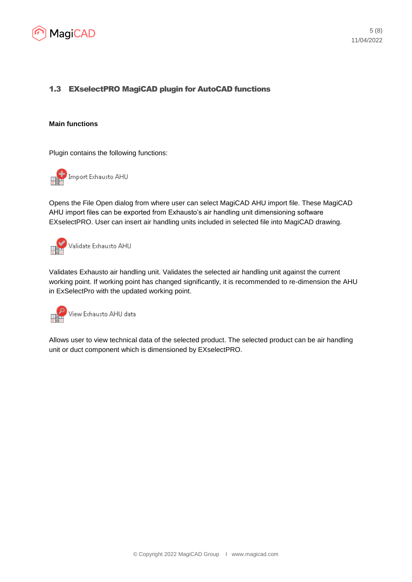

## 1.3 EXselectPRO MagiCAD plugin for AutoCAD functions

#### **Main functions**

Plugin contains the following functions:



Opens the File Open dialog from where user can select MagiCAD AHU import file. These MagiCAD AHU import files can be exported from Exhausto's air handling unit dimensioning software EXselectPRO. User can insert air handling units included in selected file into MagiCAD drawing.



Validates Exhausto air handling unit. Validates the selected air handling unit against the current working point. If working point has changed significantly, it is recommended to re-dimension the AHU in ExSelectPro with the updated working point.



Allows user to view technical data of the selected product. The selected product can be air handling unit or duct component which is dimensioned by EXselectPRO.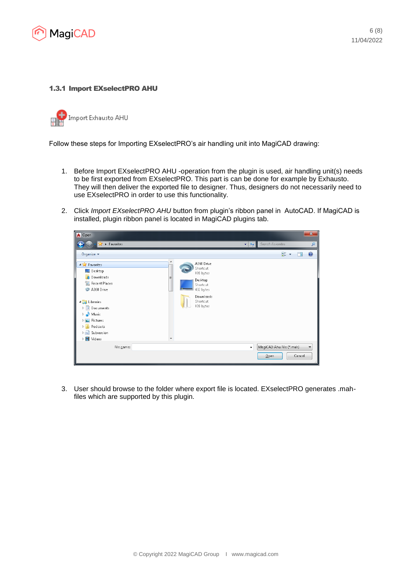

#### 1.3.1 Import EXselectPRO AHU

Import Exhausto AHU

Follow these steps for Importing EXselectPRO's air handling unit into MagiCAD drawing:

- 1. Before Import EXselectPRO AHU -operation from the plugin is used, air handling unit(s) needs to be first exported from EXselectPRO. This part is can be done for example by Exhausto. They will then deliver the exported file to designer. Thus, designers do not necessarily need to use EXselectPRO in order to use this functionality.
- 2. Click *Import EXselectPRO AHU* button from plugin's ribbon panel in AutoCAD. If MagiCAD is installed, plugin ribbon panel is located in MagiCAD plugins tab.



3. User should browse to the folder where export file is located. EXselectPRO generates .mahfiles which are supported by this plugin.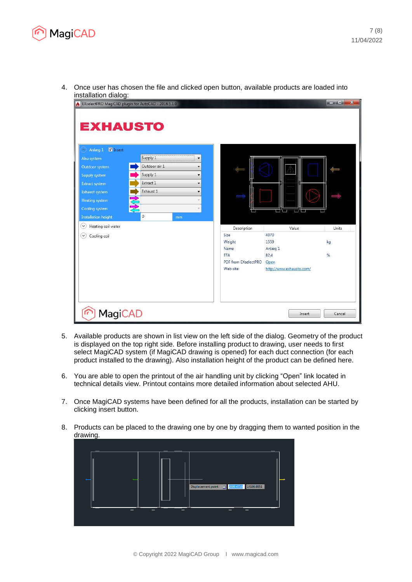

- EXselectPRO MagiCAD plugin for AutoCAD 2016.5.1.0 **EXHAUSTO** Anlæg 1 **V** Insert Supply 1  $\ddot{\phantom{0}}$ Outdoor air 1 Outdoor system  $\cdot$ Supply 1 Supply system  $\ddot{\phantom{0}}$ Extract 1 **Extract system**  $\ddot{\phantom{0}}$ Exhaust system Exhaust 1  $\ddot{\phantom{0}}$ Heating system  $\overline{\mathbf{v}}$ Cooling system **Installation height** l o  $\heartsuit$  Heating coil water Units Value Description  $\circledcirc$  Cooling coil 4070 Size Weight 1559 kg Name Anlæg 1 ETA 824  $%$ PDF from EXselectPRO Open Web site: http://www.exhausto.com/ F MagiCAD Insert Cancel
- 4. Once user has chosen the file and clicked open button, available products are loaded into installation dialog:

- 5. Available products are shown in list view on the left side of the dialog. Geometry of the product is displayed on the top right side. Before installing product to drawing, user needs to first select MagiCAD system (if MagiCAD drawing is opened) for each duct connection (for each product installed to the drawing). Also installation height of the product can be defined here.
- 6. You are able to open the printout of the air handling unit by clicking "Open" link located in technical details view. Printout contains more detailed information about selected AHU.
- 7. Once MagiCAD systems have been defined for all the products, installation can be started by clicking insert button.
- 8. Products can be placed to the drawing one by one by dragging them to wanted position in the drawing.